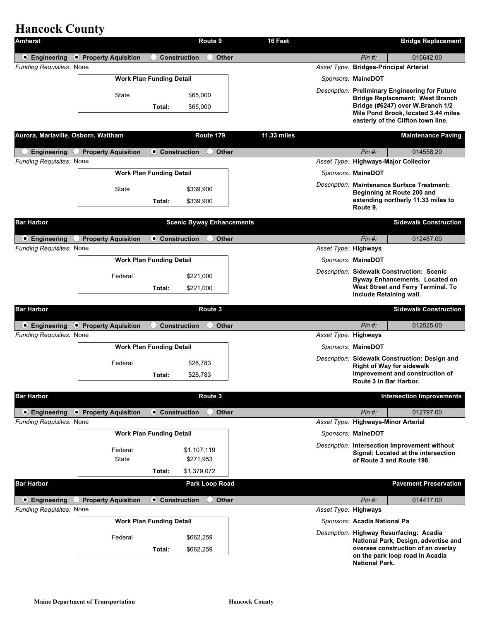## **Hancock County**

| <b>Amherst</b>                      |                                     |                                               | Route 9                          | 16 Feet     |                      |                              | <b>Bridge Replacement</b>                                                  |
|-------------------------------------|-------------------------------------|-----------------------------------------------|----------------------------------|-------------|----------------------|------------------------------|----------------------------------------------------------------------------|
| ● Engineering                       | ● Property Aquisition               | <b>Construction</b><br>$\left( \quad \right)$ | <b>Other</b>                     |             |                      | $Pin$ #:                     | 015642.00                                                                  |
| Funding Requisites: None            |                                     |                                               |                                  |             |                      |                              | Asset Type: Bridges-Principal Arterial                                     |
|                                     |                                     | <b>Work Plan Funding Detail</b>               |                                  |             |                      | Sponsors: MaineDOT           |                                                                            |
|                                     | <b>State</b>                        |                                               | \$65,000                         |             |                      |                              | Description: Preliminary Engineering for Future                            |
|                                     |                                     | Total:                                        | \$65,000                         |             |                      |                              | <b>Bridge Replacement: West Branch</b><br>Bridge (#6247) over W.Branch 1/2 |
|                                     |                                     |                                               |                                  |             |                      |                              | Mile Pond Brook, located 3.44 miles<br>easterly of the Clifton town line.  |
| Aurora, Mariaville, Osborn, Waltham |                                     |                                               | Route 179                        | 11.33 miles |                      |                              | <b>Maintenance Paving</b>                                                  |
| <b>Engineering</b>                  | $\bigcirc$ Property Aquisition      | <b>● Construction</b>                         | Other                            |             |                      | $Pin$ #:                     | 014558.20                                                                  |
| Funding Requisites: None            |                                     |                                               |                                  |             |                      |                              | Asset Type: Highways-Major Collector                                       |
|                                     |                                     | <b>Work Plan Funding Detail</b>               |                                  |             |                      | Sponsors: MaineDOT           |                                                                            |
|                                     | State                               |                                               | \$339,900                        |             |                      |                              | <b>Description: Maintenance Surface Treatment:</b>                         |
|                                     |                                     | Total:                                        | \$339,900                        |             |                      |                              | Beginning at Route 200 and<br>extending northerly 11.33 miles to           |
|                                     |                                     |                                               |                                  |             |                      | Route 9.                     |                                                                            |
| <b>Bar Harbor</b>                   |                                     |                                               | <b>Scenic Byway Enhancements</b> |             |                      |                              | <b>Sidewalk Construction</b>                                               |
| $\odot$ Engineering                 | O Property Aquisition               | <b>● Construction</b>                         | <b>Other</b>                     |             |                      | $Pin$ #:                     | 012487.00                                                                  |
| <b>Funding Requisites: None</b>     |                                     |                                               |                                  |             | Asset Type: Highways |                              |                                                                            |
|                                     |                                     | <b>Work Plan Funding Detail</b>               |                                  |             |                      | Sponsors: MaineDOT           |                                                                            |
|                                     | Federal                             |                                               | \$221,000                        |             |                      |                              | Description: Sidewalk Construction: Scenic                                 |
|                                     |                                     | Total:                                        | \$221,000                        |             |                      |                              | Byway Enhancements. Located on<br>West Street and Ferry Terminal. To       |
|                                     |                                     |                                               |                                  |             |                      |                              | include Retaining wall.                                                    |
| <b>Bar Harbor</b>                   |                                     |                                               | Route 3                          |             |                      |                              | <b>Sidewalk Construction</b>                                               |
|                                     | ● Engineering ● Property Aquisition | <b>Construction</b><br>()                     | <b>Other</b>                     |             |                      | $Pin$ #:                     | 012525.00                                                                  |
| Funding Requisites: None            |                                     |                                               |                                  |             | Asset Type: Highways |                              |                                                                            |
|                                     |                                     | <b>Work Plan Funding Detail</b>               |                                  |             |                      | Sponsors: MaineDOT           |                                                                            |
|                                     | Federal                             |                                               | \$28,783                         |             |                      |                              | Description: Sidewalk Construction: Design and                             |
|                                     |                                     | Total:                                        | \$28,783                         |             |                      |                              | <b>Right of Way for sidewalk</b><br>improvement and construction of        |
|                                     |                                     |                                               |                                  |             |                      |                              | Route 3 in Bar Harbor.                                                     |
| <b>Bar Harbor</b>                   |                                     |                                               | Route 3                          |             |                      |                              | <b>Intersection Improvements</b>                                           |
|                                     | ● Engineering ● Property Aquisition | <b>⊙</b> Construction                         | <b>Other</b>                     |             |                      | $Pin$ #:                     | 012797.00                                                                  |
| <b>Funding Requisites: None</b>     |                                     |                                               |                                  |             |                      |                              | Asset Type: Highways-Minor Arterial                                        |
|                                     |                                     | <b>Work Plan Funding Detail</b>               |                                  |             |                      | Sponsors: MaineDOT           |                                                                            |
|                                     | Federal                             |                                               | \$1,107,119                      |             |                      |                              | Description: Intersection Improvement without                              |
|                                     | State                               |                                               | \$271,953                        |             |                      |                              | Signal: Located at the intersection<br>of Route 3 and Route 198.           |
|                                     |                                     | Total:                                        | \$1,379,072                      |             |                      |                              |                                                                            |
| <b>Bar Harbor</b>                   |                                     |                                               | Park Loop Road                   |             |                      |                              | <b>Pavement Preservation</b>                                               |
| $\bullet$ Engineering               | $\bigcirc$ Property Aquisition      | <b>● Construction</b>                         | <b>Other</b>                     |             |                      | $Pin$ #:                     | 014417.00                                                                  |
| <b>Funding Requisites: None</b>     |                                     |                                               |                                  |             | Asset Type: Highways |                              |                                                                            |
|                                     |                                     | <b>Work Plan Funding Detail</b>               |                                  |             |                      | Sponsors: Acadia National Pa |                                                                            |
|                                     |                                     |                                               |                                  |             |                      |                              | Description: Highway Resurfacing: Acadia                                   |
|                                     | Federal                             |                                               | \$662,259                        |             |                      |                              | National Park, Design, advertise and                                       |
|                                     |                                     | Total:                                        | \$662,259                        |             |                      | <b>National Park.</b>        | oversee construction of an overlay<br>on the park loop road in Acadia      |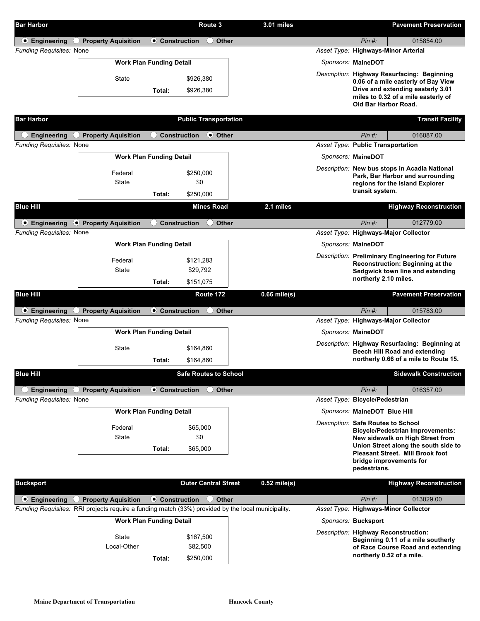| <b>Bar Harbor</b>               |                                                      |                                 | Route 3                      | 3.01 miles     |                                     | <b>Pavement Preservation</b>                                                           |
|---------------------------------|------------------------------------------------------|---------------------------------|------------------------------|----------------|-------------------------------------|----------------------------------------------------------------------------------------|
| $\odot$ Engineering             | $\bigcirc$ Property Aquisition                       | $\bullet$ Construction          | <b>Other</b>                 |                | $Pin$ #:                            | 015854.00                                                                              |
| Funding Requisites: None        |                                                      |                                 |                              |                | Asset Type: Highways-Minor Arterial |                                                                                        |
|                                 |                                                      | <b>Work Plan Funding Detail</b> |                              |                | Sponsors: MaineDOT                  |                                                                                        |
|                                 |                                                      |                                 |                              |                |                                     | Description: Highway Resurfacing: Beginning                                            |
|                                 | <b>State</b>                                         |                                 | \$926,380                    |                |                                     | 0.06 of a mile easterly of Bay View<br>Drive and extending easterly 3.01               |
|                                 |                                                      | Total:                          | \$926,380                    |                |                                     | miles to 0.32 of a mile easterly of                                                    |
|                                 |                                                      |                                 |                              |                |                                     | <b>Old Bar Harbor Road.</b>                                                            |
| <b>Bar Harbor</b>               |                                                      |                                 | <b>Public Transportation</b> |                |                                     | <b>Transit Facility</b>                                                                |
| <b>Engineering</b>              | $\bigcirc$ Property Aquisition                       | ◯ Construction                  | ⊙ Other                      |                | $Pin$ #:                            | 016087.00                                                                              |
| Funding Requisites: None        |                                                      |                                 |                              |                | Asset Type: Public Transportation   |                                                                                        |
|                                 |                                                      | <b>Work Plan Funding Detail</b> |                              |                | Sponsors: MaineDOT                  |                                                                                        |
|                                 |                                                      |                                 |                              |                |                                     | Description: New bus stops in Acadia National                                          |
|                                 | Federal<br><b>State</b>                              |                                 | \$250,000<br>\$0             |                |                                     | Park, Bar Harbor and surrounding                                                       |
|                                 |                                                      |                                 |                              |                | transit system.                     | regions for the Island Explorer                                                        |
|                                 |                                                      | Total:                          | \$250,000                    |                |                                     |                                                                                        |
| <b>Blue Hill</b>                |                                                      |                                 | <b>Mines Road</b>            | 2.1 miles      |                                     | <b>Highway Reconstruction</b>                                                          |
| $\odot$ Engineering             | • Property Aquisition                                | <b>Construction</b>             | Other                        |                | $Pin$ #:                            | 012779.00                                                                              |
| <b>Funding Requisites: None</b> |                                                      |                                 |                              |                |                                     | Asset Type: Highways-Major Collector                                                   |
|                                 |                                                      | <b>Work Plan Funding Detail</b> |                              |                | Sponsors: MaineDOT                  |                                                                                        |
|                                 | Federal                                              |                                 | \$121,283                    |                |                                     | Description: Preliminary Engineering for Future                                        |
|                                 | State                                                |                                 | \$29,792                     |                |                                     | <b>Reconstruction: Beginning at the</b><br>Sedgwick town line and extending            |
|                                 |                                                      | Total:                          | \$151,075                    |                |                                     | northerly 2.10 miles.                                                                  |
| <b>Blue Hill</b>                |                                                      |                                 | Route 172                    | $0.66$ mile(s) |                                     | <b>Pavement Preservation</b>                                                           |
|                                 |                                                      |                                 |                              |                |                                     |                                                                                        |
| $\odot$ Engineering             | <b>Property Aquisition</b><br>$\left( \quad \right)$ | <b>● Construction</b>           | <b>Other</b>                 |                | $Pin$ #:                            | 015783.00                                                                              |
| Funding Requisites: None        |                                                      |                                 |                              |                |                                     | Asset Type: Highways-Major Collector                                                   |
|                                 |                                                      | <b>Work Plan Funding Detail</b> |                              |                | Sponsors: MaineDOT                  |                                                                                        |
|                                 | <b>State</b>                                         |                                 | \$164,860                    |                |                                     | Description: Highway Resurfacing: Beginning at<br><b>Beech Hill Road and extending</b> |
|                                 |                                                      | Total:                          | \$164,860                    |                |                                     | northerly 0.66 of a mile to Route 15.                                                  |
| <b>Blue Hill</b>                |                                                      |                                 | <b>Safe Routes to School</b> |                |                                     | <b>Sidewalk Construction</b>                                                           |
| <b>Engineering</b>              | <b>Property Aquisition</b>                           | <b>● Construction</b>           | Other                        |                | $Pin$ #:                            | 016357.00                                                                              |
| <b>Funding Requisites: None</b> |                                                      |                                 |                              |                | Asset Type: Bicycle/Pedestrian      |                                                                                        |
|                                 |                                                      | <b>Work Plan Funding Detail</b> |                              |                | Sponsors: MaineDOT Blue Hill        |                                                                                        |
|                                 |                                                      |                                 |                              |                | Description: Safe Routes to School  |                                                                                        |
|                                 | Federal<br><b>State</b>                              |                                 | \$65,000<br>\$0              |                |                                     | <b>Bicycle/Pedestrian Improvements:</b>                                                |
|                                 |                                                      |                                 |                              |                |                                     | New sidewalk on High Street from<br>Union Street along the south side to               |
|                                 |                                                      | Total:                          | \$65,000                     |                |                                     | <b>Pleasant Street. Mill Brook foot</b>                                                |
|                                 |                                                      |                                 |                              |                | pedestrians.                        | bridge improvements for                                                                |
|                                 |                                                      |                                 |                              |                |                                     |                                                                                        |
| <b>Bucksport</b>                |                                                      |                                 | <b>Outer Central Street</b>  | $0.52$ mile(s) |                                     | <b>Highway Reconstruction</b>                                                          |

| $\odot$ Engineering | $\cup$ Property Aquisition                                                                         | $\odot$ Construction            | ) Other                              |  |                     | $Pin$ #:                                                                | 013029.00                            |  |
|---------------------|----------------------------------------------------------------------------------------------------|---------------------------------|--------------------------------------|--|---------------------|-------------------------------------------------------------------------|--------------------------------------|--|
|                     | Funding Requisites: RRI projects require a funding match (33%) provided by the local municipality. |                                 |                                      |  |                     |                                                                         | Asset Type: Highways-Minor Collector |  |
|                     |                                                                                                    | <b>Work Plan Funding Detail</b> |                                      |  | Sponsors: Bucksport |                                                                         |                                      |  |
|                     | \$167.500<br>State<br>\$82,500<br>Local-Other                                                      |                                 | Description: Highway Reconstruction: |  |                     | Beginning 0.11 of a mile southerly<br>of Race Course Road and extending |                                      |  |
|                     |                                                                                                    | Total:                          | \$250,000                            |  |                     | northerly 0.52 of a mile.                                               |                                      |  |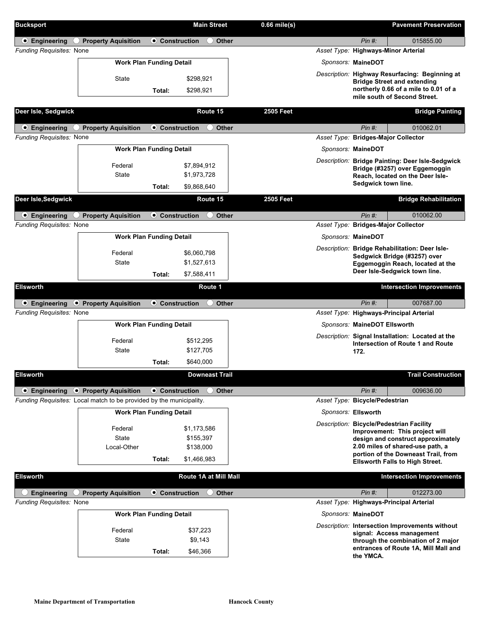| <b>Bucksport</b>                |                                                                     |                        | <b>Main Street</b>         | $0.66$ mile(s) |                                |                              | <b>Pavement Preservation</b>                                                                                                                                  |
|---------------------------------|---------------------------------------------------------------------|------------------------|----------------------------|----------------|--------------------------------|------------------------------|---------------------------------------------------------------------------------------------------------------------------------------------------------------|
| <b>● Engineering</b>            | O Property Aquisition                                               | $\bullet$ Construction | <b>Other</b>               |                |                                | $Pin$ #:                     | 015855.00                                                                                                                                                     |
| Funding Requisites: None        |                                                                     |                        |                            |                |                                |                              | Asset Type: Highways-Minor Arterial                                                                                                                           |
|                                 | <b>Work Plan Funding Detail</b>                                     |                        |                            |                |                                | Sponsors: MaineDOT           |                                                                                                                                                               |
|                                 | State                                                               | Total:                 | \$298,921<br>\$298,921     |                |                                |                              | Description: Highway Resurfacing: Beginning at<br><b>Bridge Street and extending</b><br>northerly 0.66 of a mile to 0.01 of a<br>mile south of Second Street. |
| Deer Isle, Sedgwick             |                                                                     |                        | Route 15                   | 2505 Feet      |                                |                              | <b>Bridge Painting</b>                                                                                                                                        |
| $\odot$ Engineering             | $\bigcirc$ Property Aquisition                                      | <b>⊙</b> Construction  | <b>Other</b>               |                |                                | $Pin$ #:                     | 010062.01                                                                                                                                                     |
| Funding Requisites: None        |                                                                     |                        |                            |                |                                |                              | Asset Type: Bridges-Major Collector                                                                                                                           |
|                                 | <b>Work Plan Funding Detail</b>                                     |                        |                            |                |                                | Sponsors: MaineDOT           |                                                                                                                                                               |
|                                 |                                                                     |                        |                            |                |                                |                              | Description: Bridge Painting: Deer Isle-Sedgwick                                                                                                              |
|                                 | Federal<br><b>State</b>                                             |                        | \$7,894,912<br>\$1,973,728 |                |                                |                              | Bridge (#3257) over Eggemoggin                                                                                                                                |
|                                 |                                                                     | Total:                 | \$9,868,640                |                |                                | Sedgwick town line.          | Reach, located on the Deer Isle-                                                                                                                              |
|                                 |                                                                     |                        |                            |                |                                |                              |                                                                                                                                                               |
| Deer Isle, Sedgwick             |                                                                     |                        | Route 15                   | 2505 Feet      |                                |                              | <b>Bridge Rehabilitation</b>                                                                                                                                  |
| <b>● Engineering</b>            | $\bigcirc$ Property Aquisition                                      | <b>● Construction</b>  | <b>Other</b>               |                |                                | $Pin$ #:                     | 010062.00                                                                                                                                                     |
| Funding Requisites: None        |                                                                     |                        |                            |                |                                |                              | Asset Type: Bridges-Major Collector                                                                                                                           |
|                                 | <b>Work Plan Funding Detail</b>                                     |                        |                            |                |                                | Sponsors: MaineDOT           |                                                                                                                                                               |
|                                 | Federal                                                             |                        | \$6,060,798                |                |                                |                              | Description: Bridge Rehabilitation: Deer Isle-                                                                                                                |
|                                 | <b>State</b>                                                        |                        | \$1,527,613                |                |                                |                              | Sedgwick Bridge (#3257) over<br>Eggemoggin Reach, located at the                                                                                              |
|                                 |                                                                     | Total:                 | \$7,588,411                |                |                                |                              | Deer Isle-Sedgwick town line.                                                                                                                                 |
| <b>Ellsworth</b>                |                                                                     |                        | Route 1                    |                |                                |                              | <b>Intersection Improvements</b>                                                                                                                              |
|                                 |                                                                     |                        |                            |                |                                |                              |                                                                                                                                                               |
| $\bullet$ Engineering           | • Property Aquisition                                               | ● Construction         | <b>Other</b>               |                |                                | $Pin$ #:                     | 007687.00                                                                                                                                                     |
| <b>Funding Requisites: None</b> |                                                                     |                        |                            |                |                                |                              | Asset Type: Highways-Principal Arterial                                                                                                                       |
|                                 | <b>Work Plan Funding Detail</b>                                     |                        |                            |                |                                | Sponsors: MaineDOT Ellsworth |                                                                                                                                                               |
|                                 | Federal<br>State                                                    |                        | \$512,295<br>\$127,705     |                |                                | 172.                         | Description: Signal Installation: Located at the<br>Intersection of Route 1 and Route                                                                         |
|                                 |                                                                     | Total:                 | \$640,000                  |                |                                |                              |                                                                                                                                                               |
| <b>Ellsworth</b>                |                                                                     |                        | <b>Downeast Trail</b>      |                |                                |                              | <b>Trail Construction</b>                                                                                                                                     |
|                                 |                                                                     |                        |                            |                |                                |                              |                                                                                                                                                               |
| $\odot$ Engineering             | • Property Aquisition                                               | <b>● Construction</b>  | <b>Other</b><br>$($ )      |                |                                | $Pin$ #:                     | 009636.00                                                                                                                                                     |
|                                 | Funding Requisites: Local match to be provided by the municipality. |                        |                            |                | Asset Type: Bicycle/Pedestrian |                              |                                                                                                                                                               |
|                                 | <b>Work Plan Funding Detail</b>                                     |                        |                            |                |                                | Sponsors: Ellsworth          |                                                                                                                                                               |
|                                 | Federal                                                             |                        | \$1,173,586                |                |                                |                              | Description: Bicycle/Pedestrian Facility<br>Improvement: This project will                                                                                    |
|                                 | State                                                               |                        | \$155,397                  |                |                                |                              | design and construct approximately                                                                                                                            |
|                                 | Local-Other                                                         |                        | \$138,000                  |                |                                |                              | 2.00 miles of shared-use path, a<br>portion of the Downeast Trail, from                                                                                       |
|                                 |                                                                     | Total:                 | \$1,466,983                |                |                                |                              | <b>Ellsworth Falls to High Street.</b>                                                                                                                        |
| <b>Ellsworth</b>                |                                                                     |                        | Route 1A at Mill Mall      |                |                                |                              | <b>Intersection Improvements</b>                                                                                                                              |
| <b>Engineering</b>              | O Property Aquisition                                               | <b>⊙</b> Construction  | <b>Other</b>               |                |                                | $Pin$ #:                     | 012273.00                                                                                                                                                     |
| <b>Funding Requisites: None</b> |                                                                     |                        |                            |                |                                |                              | Asset Type: Highways-Principal Arterial                                                                                                                       |
|                                 | <b>Work Plan Funding Detail</b>                                     |                        |                            |                |                                | Sponsors: MaineDOT           |                                                                                                                                                               |
|                                 |                                                                     |                        |                            |                |                                |                              | Description: Intersection Improvements without                                                                                                                |
|                                 | Federal<br><b>State</b>                                             |                        | \$37,223<br>\$9,143        |                |                                |                              | signal: Access management<br>through the combination of 2 major                                                                                               |
|                                 |                                                                     | Total:                 | \$46,366                   |                |                                | the YMCA.                    | entrances of Route 1A, Mill Mall and                                                                                                                          |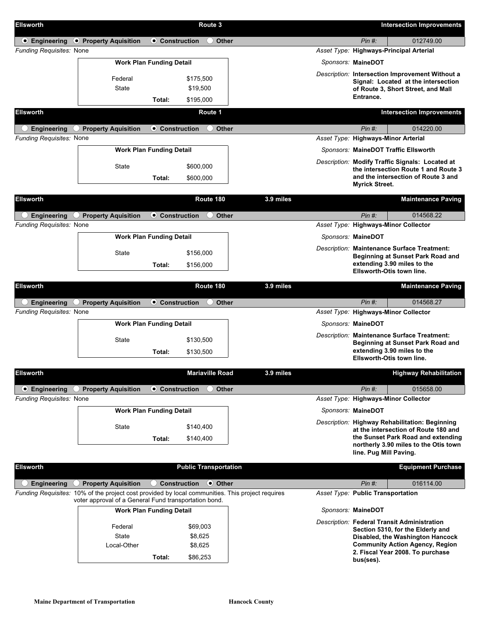| <b>Ellsworth</b>                               |                                                                                                                                                           |                         | Route 3                            |           |                                   |                        | <b>Intersection Improvements</b>                                                                                             |
|------------------------------------------------|-----------------------------------------------------------------------------------------------------------------------------------------------------------|-------------------------|------------------------------------|-----------|-----------------------------------|------------------------|------------------------------------------------------------------------------------------------------------------------------|
|                                                | ● Engineering ● Property Aquisition                                                                                                                       | $\bullet$ Construction  | <b>Other</b>                       |           |                                   | $Pin$ #:               | 012749.00                                                                                                                    |
| <b>Funding Requisites: None</b>                |                                                                                                                                                           |                         |                                    |           |                                   |                        | Asset Type: Highways-Principal Arterial                                                                                      |
|                                                | <b>Work Plan Funding Detail</b>                                                                                                                           |                         |                                    |           |                                   | Sponsors: MaineDOT     |                                                                                                                              |
|                                                | Federal<br><b>State</b>                                                                                                                                   | Total:                  | \$175,500<br>\$19,500<br>\$195,000 |           |                                   | Entrance.              | Description: Intersection Improvement Without a<br>Signal: Located at the intersection<br>of Route 3, Short Street, and Mall |
| <b>Ellsworth</b>                               |                                                                                                                                                           |                         | Route 1                            |           |                                   |                        | <b>Intersection Improvements</b>                                                                                             |
| Engineering                                    | $\bigcirc$ Property Aquisition                                                                                                                            | <b>● Construction</b>   | <b>Other</b>                       |           |                                   | $Pin$ #:               | 014220.00                                                                                                                    |
| <b>Funding Requisites: None</b>                |                                                                                                                                                           |                         |                                    |           |                                   |                        | Asset Type: Highways-Minor Arterial                                                                                          |
|                                                | <b>Work Plan Funding Detail</b>                                                                                                                           |                         |                                    |           |                                   |                        | Sponsors: MaineDOT Traffic Ellsworth                                                                                         |
|                                                | <b>State</b>                                                                                                                                              |                         | \$600,000                          |           |                                   |                        | Description: Modify Traffic Signals: Located at<br>the intersection Route 1 and Route 3                                      |
|                                                |                                                                                                                                                           | Total:                  | \$600,000                          |           |                                   | Myrick Street.         | and the intersection of Route 3 and                                                                                          |
| <b>Ellsworth</b>                               |                                                                                                                                                           |                         | Route 180                          | 3.9 miles |                                   |                        | <b>Maintenance Paving</b>                                                                                                    |
| $\bigcirc$ Engineering                         | O Property Aquisition                                                                                                                                     | <b>● Construction</b>   | <b>Other</b>                       |           |                                   | $Pin$ #:               | 014568.22                                                                                                                    |
| Funding Requisites: None                       |                                                                                                                                                           |                         |                                    |           |                                   |                        | Asset Type: Highways-Minor Collector                                                                                         |
|                                                | <b>Work Plan Funding Detail</b>                                                                                                                           |                         |                                    |           |                                   | Sponsors: MaineDOT     |                                                                                                                              |
|                                                | State                                                                                                                                                     |                         | \$156,000                          |           |                                   |                        | Description: Maintenance Surface Treatment:<br><b>Beginning at Sunset Park Road and</b>                                      |
|                                                |                                                                                                                                                           | Total:                  | \$156,000                          |           |                                   |                        | extending 3.90 miles to the<br>Ellsworth-Otis town line.                                                                     |
| <b>Ellsworth</b>                               |                                                                                                                                                           |                         | Route 180                          | 3.9 miles |                                   |                        | <b>Maintenance Paving</b>                                                                                                    |
|                                                |                                                                                                                                                           |                         |                                    |           |                                   |                        |                                                                                                                              |
| Engineering<br><b>Funding Requisites: None</b> | $\bigcirc$ Property Aquisition                                                                                                                            | <b>⊙</b> Construction   | <b>Other</b>                       |           |                                   | $Pin$ #:               | 014568.27<br>Asset Type: Highways-Minor Collector                                                                            |
|                                                | <b>Work Plan Funding Detail</b>                                                                                                                           |                         |                                    |           |                                   | Sponsors: MaineDOT     |                                                                                                                              |
|                                                | <b>State</b>                                                                                                                                              |                         | \$130,500                          |           |                                   |                        | Description: Maintenance Surface Treatment:                                                                                  |
|                                                |                                                                                                                                                           | Total:                  | \$130,500                          |           |                                   |                        | <b>Beginning at Sunset Park Road and</b><br>extending 3.90 miles to the<br>Ellsworth-Otis town line.                         |
| Ellsworth                                      |                                                                                                                                                           |                         | <b>Mariaville Road</b>             | 3.9 miles |                                   |                        | <b>Highway Rehabilitation</b>                                                                                                |
| $\odot$ Engineering                            | $\bigcirc$ Property Aquisition                                                                                                                            | <b>● Construction</b>   | Other                              |           |                                   | Pin #:                 | 015658.00                                                                                                                    |
| <b>Funding Requisites: None</b>                |                                                                                                                                                           |                         |                                    |           |                                   |                        | Asset Type: Highways-Minor Collector                                                                                         |
|                                                | <b>Work Plan Funding Detail</b>                                                                                                                           |                         |                                    |           |                                   | Sponsors: MaineDOT     |                                                                                                                              |
|                                                | State                                                                                                                                                     |                         | \$140,400                          |           |                                   |                        | Description: Highway Rehabilitation: Beginning<br>at the intersection of Route 180 and                                       |
|                                                |                                                                                                                                                           | Total:                  | \$140,400                          |           |                                   |                        | the Sunset Park Road and extending                                                                                           |
|                                                |                                                                                                                                                           |                         |                                    |           |                                   | line. Pug Mill Paving. | northerly 3.90 miles to the Otis town                                                                                        |
| <b>Ellsworth</b>                               |                                                                                                                                                           |                         | <b>Public Transportation</b>       |           |                                   |                        | <b>Equipment Purchase</b>                                                                                                    |
| $\cup$ Engineering                             | $\bigcirc$ Property Aquisition                                                                                                                            | $\bigcirc$ Construction | $\odot$ Other                      |           |                                   | $Pin$ #:               | 016114.00                                                                                                                    |
|                                                | Funding Requisites: 10% of the project cost provided by local communities. This project requires<br>voter approval of a General Fund transportation bond. |                         |                                    |           | Asset Type: Public Transportation |                        |                                                                                                                              |
|                                                | <b>Work Plan Funding Detail</b>                                                                                                                           |                         |                                    |           |                                   | Sponsors: MaineDOT     |                                                                                                                              |
|                                                | Federal                                                                                                                                                   |                         | \$69,003                           |           |                                   |                        | <b>Description: Federal Transit Administration</b>                                                                           |
|                                                | State                                                                                                                                                     |                         | \$8,625                            |           |                                   |                        | Section 5310, for the Elderly and<br>Disabled, the Washington Hancock                                                        |
|                                                | Local-Other                                                                                                                                               |                         | \$8,625                            |           |                                   |                        | <b>Community Action Agency, Region</b>                                                                                       |
|                                                |                                                                                                                                                           | Total:                  | \$86,253                           |           |                                   | bus(ses).              | 2. Fiscal Year 2008. To purchase                                                                                             |
|                                                |                                                                                                                                                           |                         |                                    |           |                                   |                        |                                                                                                                              |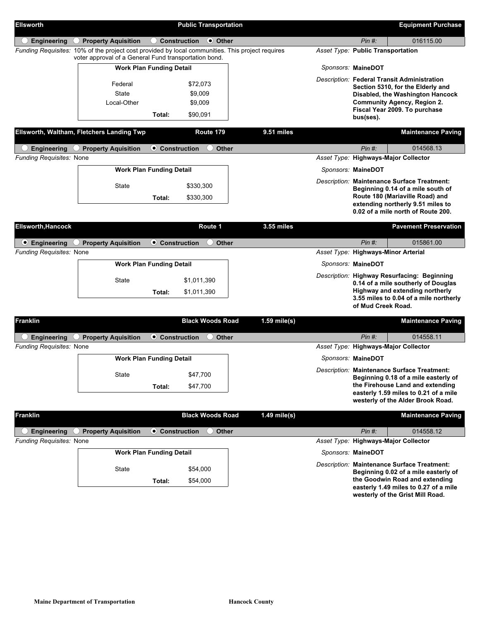| $\bigcirc$ Property Aquisition<br>$\bigcirc$ Construction<br>$\odot$ Other<br>$Pin$ #:<br>016115.00<br><b>Engineering</b><br>Funding Requisites: 10% of the project cost provided by local communities. This project requires<br>Asset Type: Public Transportation<br>voter approval of a General Fund transportation bond.<br><b>Work Plan Funding Detail</b><br>Sponsors: MaineDOT<br>Description: Federal Transit Administration<br>\$72,073<br>Federal<br>Section 5310, for the Elderly and<br>\$9,009<br>State<br>Disabled, the Washington Hancock<br><b>Community Agency, Region 2.</b><br>Local-Other<br>\$9,009<br>Fiscal Year 2009. To purchase<br>\$90,091<br>Total:<br>bus(ses).<br>Ellsworth, Waltham, Fletchers Landing Twp<br>Route 179<br>9.51 miles<br><b>Maintenance Paving</b><br>014568.13<br>O Property Aquisition<br><b>⊙</b> Construction<br>Other<br>$Pin$ #:<br><b>Engineering</b><br>Funding Requisites: None<br>Asset Type: Highways-Major Collector<br><b>Work Plan Funding Detail</b><br>Sponsors: MaineDOT<br>Description: Maintenance Surface Treatment:<br>\$330,300<br>State<br>Beginning 0.14 of a mile south of<br>Route 180 (Mariaville Road) and<br>\$330,300<br>Total:<br>extending northerly 9.51 miles to<br>0.02 of a mile north of Route 200.<br><b>Ellsworth, Hancock</b><br>3.55 miles<br><b>Pavement Preservation</b><br>Route 1<br>O Property Aquisition<br>$\bullet$ Construction<br>Other<br>$Pin$ #:<br>015861.00<br>$\bullet$ Engineering<br>Funding Requisites: None<br>Asset Type: Highways-Minor Arterial<br><b>Work Plan Funding Detail</b><br>Sponsors: MaineDOT<br>Description: Highway Resurfacing: Beginning<br>State<br>\$1,011,390<br>0.14 of a mile southerly of Douglas<br>Highway and extending northerly<br>Total:<br>\$1,011,390<br>3.55 miles to 0.04 of a mile northerly<br>of Mud Creek Road.<br><b>Black Woods Road</b><br><b>Franklin</b><br>$1.59$ mile(s)<br><b>Maintenance Paving</b><br><b>⊙</b> Construction<br>014558.11<br>◯ Property Aquisition<br>$\cup$ Other<br>$Pin$ #:<br><b>Engineering</b><br>Funding Requisites: None<br>Asset Type: Highways-Major Collector<br><b>Work Plan Funding Detail</b><br>Sponsors: MaineDOT<br>Description: Maintenance Surface Treatment:<br><b>State</b><br>\$47,700<br>Beginning 0.18 of a mile easterly of<br>the Firehouse Land and extending<br>\$47,700<br>Total:<br>easterly 1.59 miles to 0.21 of a mile<br>westerly of the Alder Brook Road.<br><b>Black Woods Road</b> | <b>Ellsworth</b> |        | <b>Public Transportation</b> |                |  | <b>Equipment Purchase</b>                                              |
|---------------------------------------------------------------------------------------------------------------------------------------------------------------------------------------------------------------------------------------------------------------------------------------------------------------------------------------------------------------------------------------------------------------------------------------------------------------------------------------------------------------------------------------------------------------------------------------------------------------------------------------------------------------------------------------------------------------------------------------------------------------------------------------------------------------------------------------------------------------------------------------------------------------------------------------------------------------------------------------------------------------------------------------------------------------------------------------------------------------------------------------------------------------------------------------------------------------------------------------------------------------------------------------------------------------------------------------------------------------------------------------------------------------------------------------------------------------------------------------------------------------------------------------------------------------------------------------------------------------------------------------------------------------------------------------------------------------------------------------------------------------------------------------------------------------------------------------------------------------------------------------------------------------------------------------------------------------------------------------------------------------------------------------------------------------------------------------------------------------------------------------------------------------------------------------------------------------------------------------------------------------------------------------------------------------------------------------------------------------------------------------------------------------------------------------------------------------------------------------------------|------------------|--------|------------------------------|----------------|--|------------------------------------------------------------------------|
|                                                                                                                                                                                                                                                                                                                                                                                                                                                                                                                                                                                                                                                                                                                                                                                                                                                                                                                                                                                                                                                                                                                                                                                                                                                                                                                                                                                                                                                                                                                                                                                                                                                                                                                                                                                                                                                                                                                                                                                                                                                                                                                                                                                                                                                                                                                                                                                                                                                                                                   |                  |        |                              |                |  |                                                                        |
|                                                                                                                                                                                                                                                                                                                                                                                                                                                                                                                                                                                                                                                                                                                                                                                                                                                                                                                                                                                                                                                                                                                                                                                                                                                                                                                                                                                                                                                                                                                                                                                                                                                                                                                                                                                                                                                                                                                                                                                                                                                                                                                                                                                                                                                                                                                                                                                                                                                                                                   |                  |        |                              |                |  |                                                                        |
|                                                                                                                                                                                                                                                                                                                                                                                                                                                                                                                                                                                                                                                                                                                                                                                                                                                                                                                                                                                                                                                                                                                                                                                                                                                                                                                                                                                                                                                                                                                                                                                                                                                                                                                                                                                                                                                                                                                                                                                                                                                                                                                                                                                                                                                                                                                                                                                                                                                                                                   |                  |        |                              |                |  |                                                                        |
|                                                                                                                                                                                                                                                                                                                                                                                                                                                                                                                                                                                                                                                                                                                                                                                                                                                                                                                                                                                                                                                                                                                                                                                                                                                                                                                                                                                                                                                                                                                                                                                                                                                                                                                                                                                                                                                                                                                                                                                                                                                                                                                                                                                                                                                                                                                                                                                                                                                                                                   |                  |        |                              |                |  |                                                                        |
|                                                                                                                                                                                                                                                                                                                                                                                                                                                                                                                                                                                                                                                                                                                                                                                                                                                                                                                                                                                                                                                                                                                                                                                                                                                                                                                                                                                                                                                                                                                                                                                                                                                                                                                                                                                                                                                                                                                                                                                                                                                                                                                                                                                                                                                                                                                                                                                                                                                                                                   |                  |        |                              |                |  |                                                                        |
|                                                                                                                                                                                                                                                                                                                                                                                                                                                                                                                                                                                                                                                                                                                                                                                                                                                                                                                                                                                                                                                                                                                                                                                                                                                                                                                                                                                                                                                                                                                                                                                                                                                                                                                                                                                                                                                                                                                                                                                                                                                                                                                                                                                                                                                                                                                                                                                                                                                                                                   |                  |        |                              |                |  |                                                                        |
|                                                                                                                                                                                                                                                                                                                                                                                                                                                                                                                                                                                                                                                                                                                                                                                                                                                                                                                                                                                                                                                                                                                                                                                                                                                                                                                                                                                                                                                                                                                                                                                                                                                                                                                                                                                                                                                                                                                                                                                                                                                                                                                                                                                                                                                                                                                                                                                                                                                                                                   |                  |        |                              |                |  |                                                                        |
|                                                                                                                                                                                                                                                                                                                                                                                                                                                                                                                                                                                                                                                                                                                                                                                                                                                                                                                                                                                                                                                                                                                                                                                                                                                                                                                                                                                                                                                                                                                                                                                                                                                                                                                                                                                                                                                                                                                                                                                                                                                                                                                                                                                                                                                                                                                                                                                                                                                                                                   |                  |        |                              |                |  |                                                                        |
|                                                                                                                                                                                                                                                                                                                                                                                                                                                                                                                                                                                                                                                                                                                                                                                                                                                                                                                                                                                                                                                                                                                                                                                                                                                                                                                                                                                                                                                                                                                                                                                                                                                                                                                                                                                                                                                                                                                                                                                                                                                                                                                                                                                                                                                                                                                                                                                                                                                                                                   |                  |        |                              |                |  |                                                                        |
|                                                                                                                                                                                                                                                                                                                                                                                                                                                                                                                                                                                                                                                                                                                                                                                                                                                                                                                                                                                                                                                                                                                                                                                                                                                                                                                                                                                                                                                                                                                                                                                                                                                                                                                                                                                                                                                                                                                                                                                                                                                                                                                                                                                                                                                                                                                                                                                                                                                                                                   |                  |        |                              |                |  |                                                                        |
|                                                                                                                                                                                                                                                                                                                                                                                                                                                                                                                                                                                                                                                                                                                                                                                                                                                                                                                                                                                                                                                                                                                                                                                                                                                                                                                                                                                                                                                                                                                                                                                                                                                                                                                                                                                                                                                                                                                                                                                                                                                                                                                                                                                                                                                                                                                                                                                                                                                                                                   |                  |        |                              |                |  |                                                                        |
|                                                                                                                                                                                                                                                                                                                                                                                                                                                                                                                                                                                                                                                                                                                                                                                                                                                                                                                                                                                                                                                                                                                                                                                                                                                                                                                                                                                                                                                                                                                                                                                                                                                                                                                                                                                                                                                                                                                                                                                                                                                                                                                                                                                                                                                                                                                                                                                                                                                                                                   |                  |        |                              |                |  |                                                                        |
|                                                                                                                                                                                                                                                                                                                                                                                                                                                                                                                                                                                                                                                                                                                                                                                                                                                                                                                                                                                                                                                                                                                                                                                                                                                                                                                                                                                                                                                                                                                                                                                                                                                                                                                                                                                                                                                                                                                                                                                                                                                                                                                                                                                                                                                                                                                                                                                                                                                                                                   |                  |        |                              |                |  |                                                                        |
|                                                                                                                                                                                                                                                                                                                                                                                                                                                                                                                                                                                                                                                                                                                                                                                                                                                                                                                                                                                                                                                                                                                                                                                                                                                                                                                                                                                                                                                                                                                                                                                                                                                                                                                                                                                                                                                                                                                                                                                                                                                                                                                                                                                                                                                                                                                                                                                                                                                                                                   |                  |        |                              |                |  |                                                                        |
|                                                                                                                                                                                                                                                                                                                                                                                                                                                                                                                                                                                                                                                                                                                                                                                                                                                                                                                                                                                                                                                                                                                                                                                                                                                                                                                                                                                                                                                                                                                                                                                                                                                                                                                                                                                                                                                                                                                                                                                                                                                                                                                                                                                                                                                                                                                                                                                                                                                                                                   |                  |        |                              |                |  |                                                                        |
|                                                                                                                                                                                                                                                                                                                                                                                                                                                                                                                                                                                                                                                                                                                                                                                                                                                                                                                                                                                                                                                                                                                                                                                                                                                                                                                                                                                                                                                                                                                                                                                                                                                                                                                                                                                                                                                                                                                                                                                                                                                                                                                                                                                                                                                                                                                                                                                                                                                                                                   |                  |        |                              |                |  |                                                                        |
|                                                                                                                                                                                                                                                                                                                                                                                                                                                                                                                                                                                                                                                                                                                                                                                                                                                                                                                                                                                                                                                                                                                                                                                                                                                                                                                                                                                                                                                                                                                                                                                                                                                                                                                                                                                                                                                                                                                                                                                                                                                                                                                                                                                                                                                                                                                                                                                                                                                                                                   |                  |        |                              |                |  |                                                                        |
|                                                                                                                                                                                                                                                                                                                                                                                                                                                                                                                                                                                                                                                                                                                                                                                                                                                                                                                                                                                                                                                                                                                                                                                                                                                                                                                                                                                                                                                                                                                                                                                                                                                                                                                                                                                                                                                                                                                                                                                                                                                                                                                                                                                                                                                                                                                                                                                                                                                                                                   |                  |        |                              |                |  |                                                                        |
|                                                                                                                                                                                                                                                                                                                                                                                                                                                                                                                                                                                                                                                                                                                                                                                                                                                                                                                                                                                                                                                                                                                                                                                                                                                                                                                                                                                                                                                                                                                                                                                                                                                                                                                                                                                                                                                                                                                                                                                                                                                                                                                                                                                                                                                                                                                                                                                                                                                                                                   |                  |        |                              |                |  |                                                                        |
|                                                                                                                                                                                                                                                                                                                                                                                                                                                                                                                                                                                                                                                                                                                                                                                                                                                                                                                                                                                                                                                                                                                                                                                                                                                                                                                                                                                                                                                                                                                                                                                                                                                                                                                                                                                                                                                                                                                                                                                                                                                                                                                                                                                                                                                                                                                                                                                                                                                                                                   |                  |        |                              |                |  |                                                                        |
|                                                                                                                                                                                                                                                                                                                                                                                                                                                                                                                                                                                                                                                                                                                                                                                                                                                                                                                                                                                                                                                                                                                                                                                                                                                                                                                                                                                                                                                                                                                                                                                                                                                                                                                                                                                                                                                                                                                                                                                                                                                                                                                                                                                                                                                                                                                                                                                                                                                                                                   |                  |        |                              |                |  |                                                                        |
|                                                                                                                                                                                                                                                                                                                                                                                                                                                                                                                                                                                                                                                                                                                                                                                                                                                                                                                                                                                                                                                                                                                                                                                                                                                                                                                                                                                                                                                                                                                                                                                                                                                                                                                                                                                                                                                                                                                                                                                                                                                                                                                                                                                                                                                                                                                                                                                                                                                                                                   |                  |        |                              |                |  |                                                                        |
|                                                                                                                                                                                                                                                                                                                                                                                                                                                                                                                                                                                                                                                                                                                                                                                                                                                                                                                                                                                                                                                                                                                                                                                                                                                                                                                                                                                                                                                                                                                                                                                                                                                                                                                                                                                                                                                                                                                                                                                                                                                                                                                                                                                                                                                                                                                                                                                                                                                                                                   |                  |        |                              |                |  |                                                                        |
|                                                                                                                                                                                                                                                                                                                                                                                                                                                                                                                                                                                                                                                                                                                                                                                                                                                                                                                                                                                                                                                                                                                                                                                                                                                                                                                                                                                                                                                                                                                                                                                                                                                                                                                                                                                                                                                                                                                                                                                                                                                                                                                                                                                                                                                                                                                                                                                                                                                                                                   |                  |        |                              |                |  |                                                                        |
|                                                                                                                                                                                                                                                                                                                                                                                                                                                                                                                                                                                                                                                                                                                                                                                                                                                                                                                                                                                                                                                                                                                                                                                                                                                                                                                                                                                                                                                                                                                                                                                                                                                                                                                                                                                                                                                                                                                                                                                                                                                                                                                                                                                                                                                                                                                                                                                                                                                                                                   |                  |        |                              |                |  |                                                                        |
|                                                                                                                                                                                                                                                                                                                                                                                                                                                                                                                                                                                                                                                                                                                                                                                                                                                                                                                                                                                                                                                                                                                                                                                                                                                                                                                                                                                                                                                                                                                                                                                                                                                                                                                                                                                                                                                                                                                                                                                                                                                                                                                                                                                                                                                                                                                                                                                                                                                                                                   |                  |        |                              |                |  |                                                                        |
|                                                                                                                                                                                                                                                                                                                                                                                                                                                                                                                                                                                                                                                                                                                                                                                                                                                                                                                                                                                                                                                                                                                                                                                                                                                                                                                                                                                                                                                                                                                                                                                                                                                                                                                                                                                                                                                                                                                                                                                                                                                                                                                                                                                                                                                                                                                                                                                                                                                                                                   |                  |        |                              |                |  |                                                                        |
|                                                                                                                                                                                                                                                                                                                                                                                                                                                                                                                                                                                                                                                                                                                                                                                                                                                                                                                                                                                                                                                                                                                                                                                                                                                                                                                                                                                                                                                                                                                                                                                                                                                                                                                                                                                                                                                                                                                                                                                                                                                                                                                                                                                                                                                                                                                                                                                                                                                                                                   |                  |        |                              |                |  |                                                                        |
|                                                                                                                                                                                                                                                                                                                                                                                                                                                                                                                                                                                                                                                                                                                                                                                                                                                                                                                                                                                                                                                                                                                                                                                                                                                                                                                                                                                                                                                                                                                                                                                                                                                                                                                                                                                                                                                                                                                                                                                                                                                                                                                                                                                                                                                                                                                                                                                                                                                                                                   |                  |        |                              |                |  |                                                                        |
|                                                                                                                                                                                                                                                                                                                                                                                                                                                                                                                                                                                                                                                                                                                                                                                                                                                                                                                                                                                                                                                                                                                                                                                                                                                                                                                                                                                                                                                                                                                                                                                                                                                                                                                                                                                                                                                                                                                                                                                                                                                                                                                                                                                                                                                                                                                                                                                                                                                                                                   |                  |        |                              |                |  |                                                                        |
|                                                                                                                                                                                                                                                                                                                                                                                                                                                                                                                                                                                                                                                                                                                                                                                                                                                                                                                                                                                                                                                                                                                                                                                                                                                                                                                                                                                                                                                                                                                                                                                                                                                                                                                                                                                                                                                                                                                                                                                                                                                                                                                                                                                                                                                                                                                                                                                                                                                                                                   | <b>Franklin</b>  |        |                              | $1.49$ mile(s) |  | <b>Maintenance Paving</b>                                              |
| <b>● Construction</b><br>$\bigcirc$ Other<br>$\bigcirc$ Property Aquisition<br>Pin #:<br>014558.12<br><b>Engineering</b>                                                                                                                                                                                                                                                                                                                                                                                                                                                                                                                                                                                                                                                                                                                                                                                                                                                                                                                                                                                                                                                                                                                                                                                                                                                                                                                                                                                                                                                                                                                                                                                                                                                                                                                                                                                                                                                                                                                                                                                                                                                                                                                                                                                                                                                                                                                                                                          |                  |        |                              |                |  |                                                                        |
| <b>Funding Requisites: None</b><br>Asset Type: Highways-Major Collector                                                                                                                                                                                                                                                                                                                                                                                                                                                                                                                                                                                                                                                                                                                                                                                                                                                                                                                                                                                                                                                                                                                                                                                                                                                                                                                                                                                                                                                                                                                                                                                                                                                                                                                                                                                                                                                                                                                                                                                                                                                                                                                                                                                                                                                                                                                                                                                                                           |                  |        |                              |                |  |                                                                        |
| <b>Work Plan Funding Detail</b><br>Sponsors: MaineDOT                                                                                                                                                                                                                                                                                                                                                                                                                                                                                                                                                                                                                                                                                                                                                                                                                                                                                                                                                                                                                                                                                                                                                                                                                                                                                                                                                                                                                                                                                                                                                                                                                                                                                                                                                                                                                                                                                                                                                                                                                                                                                                                                                                                                                                                                                                                                                                                                                                             |                  |        |                              |                |  |                                                                        |
| Description: Maintenance Surface Treatment:                                                                                                                                                                                                                                                                                                                                                                                                                                                                                                                                                                                                                                                                                                                                                                                                                                                                                                                                                                                                                                                                                                                                                                                                                                                                                                                                                                                                                                                                                                                                                                                                                                                                                                                                                                                                                                                                                                                                                                                                                                                                                                                                                                                                                                                                                                                                                                                                                                                       |                  |        |                              |                |  |                                                                        |
|                                                                                                                                                                                                                                                                                                                                                                                                                                                                                                                                                                                                                                                                                                                                                                                                                                                                                                                                                                                                                                                                                                                                                                                                                                                                                                                                                                                                                                                                                                                                                                                                                                                                                                                                                                                                                                                                                                                                                                                                                                                                                                                                                                                                                                                                                                                                                                                                                                                                                                   |                  |        |                              |                |  | Beginning 0.02 of a mile easterly of<br>the Goodwin Road and extending |
| State<br>\$54,000                                                                                                                                                                                                                                                                                                                                                                                                                                                                                                                                                                                                                                                                                                                                                                                                                                                                                                                                                                                                                                                                                                                                                                                                                                                                                                                                                                                                                                                                                                                                                                                                                                                                                                                                                                                                                                                                                                                                                                                                                                                                                                                                                                                                                                                                                                                                                                                                                                                                                 |                  | Total: | \$54,000                     |                |  | والمستمركم 10 كرفية ومالمس كافريا والرما                               |

**the Goodwin Road and extending easterly 1.49 miles to 0.27 of a mile westerly of the Grist Mill Road.**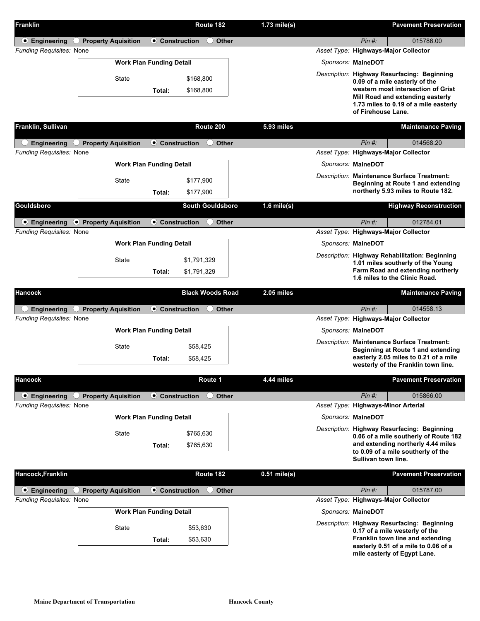| <b>Franklin</b>                                       |                                |                                 | Route 182                       | $1.73$ mile(s) |                     | <b>Pavement Preservation</b>                                                      |
|-------------------------------------------------------|--------------------------------|---------------------------------|---------------------------------|----------------|---------------------|-----------------------------------------------------------------------------------|
| $\odot$ Engineering                                   | $\bigcirc$ Property Aquisition | <b>⊙</b> Construction           | Other<br>$\left( \quad \right)$ |                | $Pin$ #:            | 015786.00                                                                         |
| Funding Requisites: None                              |                                |                                 |                                 |                |                     | Asset Type: Highways-Major Collector                                              |
|                                                       |                                | <b>Work Plan Funding Detail</b> |                                 |                | Sponsors: MaineDOT  |                                                                                   |
|                                                       | State                          |                                 | \$168,800                       |                |                     | Description: Highway Resurfacing: Beginning                                       |
|                                                       |                                | Total:                          | \$168,800                       |                |                     | 0.09 of a mile easterly of the<br>western most intersection of Grist              |
|                                                       |                                |                                 |                                 |                |                     | Mill Road and extending easterly                                                  |
|                                                       |                                |                                 |                                 |                | of Firehouse Lane.  | 1.73 miles to 0.19 of a mile easterly                                             |
| Franklin, Sullivan                                    |                                |                                 | Route 200                       | 5.93 miles     |                     | <b>Maintenance Paving</b>                                                         |
|                                                       |                                |                                 |                                 |                |                     |                                                                                   |
| <b>Engineering</b><br><b>Funding Requisites: None</b> | <b>Property Aquisition</b>     | $\bullet$ Construction          | Other                           |                | $Pin$ #:            | 014568.20<br>Asset Type: Highways-Major Collector                                 |
|                                                       |                                |                                 |                                 |                |                     |                                                                                   |
|                                                       |                                | <b>Work Plan Funding Detail</b> |                                 |                | Sponsors: MaineDOT  |                                                                                   |
|                                                       | State                          |                                 | \$177,900                       |                |                     | Description: Maintenance Surface Treatment:<br>Beginning at Route 1 and extending |
|                                                       |                                | Total:                          | \$177,900                       |                |                     | northerly 5.93 miles to Route 182.                                                |
| <b>Gouldsboro</b>                                     |                                |                                 | <b>South Gouldsboro</b>         | $1.6$ mile(s)  |                     | <b>Highway Reconstruction</b>                                                     |
| $\odot$ Engineering                                   | ● Property Aquisition          | <b>● Construction</b>           | ◯ Other                         |                | $Pin$ #:            | 012784.01                                                                         |
| Funding Requisites: None                              |                                |                                 |                                 |                |                     | Asset Type: Highways-Major Collector                                              |
|                                                       |                                | <b>Work Plan Funding Detail</b> |                                 |                | Sponsors: MaineDOT  |                                                                                   |
|                                                       |                                |                                 |                                 |                |                     | Description: Highway Rehabilitation: Beginning                                    |
|                                                       | <b>State</b>                   |                                 | \$1,791,329                     |                |                     | 1.01 miles southerly of the Young<br>Farm Road and extending northerly            |
|                                                       |                                | Total:                          | \$1,791,329                     |                |                     | 1.6 miles to the Clinic Road.                                                     |
| <b>Hancock</b>                                        |                                |                                 | <b>Black Woods Road</b>         | 2.05 miles     |                     | <b>Maintenance Paving</b>                                                         |
| <b>Engineering</b>                                    | $\bigcirc$ Property Aquisition | <b>● Construction</b>           | <b>Other</b>                    |                | $Pin$ #:            | 014558.13                                                                         |
| Funding Requisites: None                              |                                |                                 |                                 |                |                     | Asset Type: Highways-Major Collector                                              |
|                                                       |                                | <b>Work Plan Funding Detail</b> |                                 |                | Sponsors: MaineDOT  |                                                                                   |
|                                                       | State                          |                                 | \$58,425                        |                |                     | Description: Maintenance Surface Treatment:                                       |
|                                                       |                                |                                 |                                 |                |                     | Beginning at Route 1 and extending<br>easterly 2.05 miles to 0.21 of a mile       |
|                                                       |                                | Total:                          | \$58,425                        |                |                     | westerly of the Franklin town line.                                               |
| <b>Hancock</b>                                        |                                |                                 | Route 1                         | 4.44 miles     |                     | <b>Pavement Preservation</b>                                                      |
| $\bullet$ Engineering                                 | $\bigcirc$ Property Aquisition | <b>⊙</b> Construction           | $\supset$ Other                 |                | Pin #:              | 015866.00                                                                         |
| Funding Requisites: None                              |                                |                                 |                                 |                |                     | Asset Type: Highways-Minor Arterial                                               |
|                                                       |                                | <b>Work Plan Funding Detail</b> |                                 |                | Sponsors: MaineDOT  |                                                                                   |
|                                                       |                                |                                 |                                 |                |                     | Description: Highway Resurfacing: Beginning                                       |
|                                                       | <b>State</b>                   |                                 | \$765,630                       |                |                     | 0.06 of a mile southerly of Route 182                                             |
|                                                       |                                | Total:                          | \$765,630                       |                |                     | and extending northerly 4.44 miles<br>to 0.09 of a mile southerly of the          |
|                                                       |                                |                                 |                                 |                | Sullivan town line. |                                                                                   |
| Hancock, Franklin                                     |                                |                                 | Route 182                       | $0.51$ mile(s) |                     | <b>Pavement Preservation</b>                                                      |
|                                                       |                                |                                 |                                 |                |                     |                                                                                   |
| $\odot$ Engineering<br>Funding Requisites: None       | $\bigcirc$ Property Aquisition | <b>● Construction</b>           | $\bigcirc$ Other                |                | $Pin$ #:            | 015787.00<br>Asset Type: Highways-Major Collector                                 |
|                                                       |                                | <b>Work Plan Funding Detail</b> |                                 |                | Sponsors: MaineDOT  |                                                                                   |
|                                                       |                                |                                 |                                 |                |                     | Description: Highway Resurfacing: Beginning                                       |
|                                                       | <b>State</b>                   |                                 | \$53,630                        |                |                     | 0.17 of a mile westerly of the                                                    |
|                                                       |                                | Total:                          | \$53,630                        |                |                     | Franklin town line and extending<br>easterly 0.51 of a mile to 0.06 of a          |
|                                                       |                                |                                 |                                 |                |                     | mile easterly of Egypt Lane.                                                      |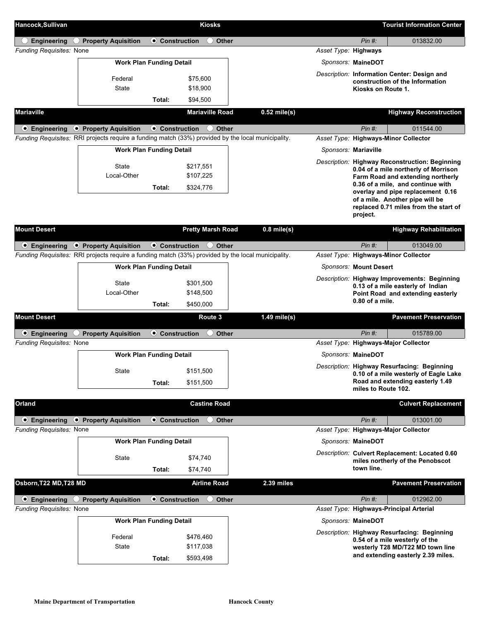|                                                                                                 |                                                                                                    |                                 | <b>Kiosks</b>            |                |                      |                        | <b>Tourist Information Center</b>                                                                                             |
|-------------------------------------------------------------------------------------------------|----------------------------------------------------------------------------------------------------|---------------------------------|--------------------------|----------------|----------------------|------------------------|-------------------------------------------------------------------------------------------------------------------------------|
| Engineering                                                                                     | $\bigcirc$ Property Aquisition                                                                     | <b>⊙</b> Construction           | Other<br>( )             |                |                      | $Pin$ #:               | 013832.00                                                                                                                     |
| <b>Funding Requisites: None</b>                                                                 |                                                                                                    |                                 |                          |                | Asset Type: Highways |                        |                                                                                                                               |
|                                                                                                 |                                                                                                    | <b>Work Plan Funding Detail</b> |                          |                |                      | Sponsors: MaineDOT     |                                                                                                                               |
|                                                                                                 | Federal                                                                                            |                                 | \$75,600                 |                |                      |                        | Description: Information Center: Design and<br>construction of the Information                                                |
|                                                                                                 | State                                                                                              |                                 | \$18,900                 |                |                      | Kiosks on Route 1.     |                                                                                                                               |
|                                                                                                 |                                                                                                    | Total:                          | \$94,500                 |                |                      |                        |                                                                                                                               |
| <b>Mariaville</b>                                                                               |                                                                                                    |                                 | <b>Mariaville Road</b>   | $0.52$ mile(s) |                      |                        | <b>Highway Reconstruction</b>                                                                                                 |
| $\odot$ Engineering                                                                             | ● Property Aquisition                                                                              | <b>⊙</b> Construction           | $\bigcirc$ Other         |                |                      | $Pin$ #:               | 011544.00                                                                                                                     |
|                                                                                                 | Funding Requisites: RRI projects require a funding match (33%) provided by the local municipality. |                                 |                          |                |                      |                        | Asset Type: Highways-Minor Collector                                                                                          |
|                                                                                                 |                                                                                                    | <b>Work Plan Funding Detail</b> |                          |                |                      | Sponsors: Mariaville   |                                                                                                                               |
|                                                                                                 | <b>State</b>                                                                                       |                                 | \$217,551                |                |                      |                        | Description: Highway Reconstruction: Beginning                                                                                |
|                                                                                                 | Local-Other                                                                                        |                                 | \$107,225                |                |                      |                        | 0.04 of a mile northerly of Morrison<br>Farm Road and extending northerly                                                     |
|                                                                                                 |                                                                                                    | Total:                          | \$324,776                |                |                      |                        | 0.36 of a mile, and continue with                                                                                             |
|                                                                                                 |                                                                                                    |                                 |                          |                |                      |                        | overlay and pipe replacement 0.16<br>of a mile. Another pipe will be                                                          |
|                                                                                                 |                                                                                                    |                                 |                          |                |                      | project.               | replaced 0.71 miles from the start of                                                                                         |
|                                                                                                 |                                                                                                    |                                 |                          |                |                      |                        |                                                                                                                               |
| <b>Mount Desert</b>                                                                             |                                                                                                    |                                 | <b>Pretty Marsh Road</b> | $0.8$ mile(s)  |                      |                        | <b>Highway Rehabilitation</b>                                                                                                 |
|                                                                                                 | $\bullet$ Engineering $\bullet$ Property Aquisition                                                | <b>⊙</b> Construction           | $\bigcirc$ Other         |                |                      | $Pin$ #:               | 013049.00                                                                                                                     |
|                                                                                                 | Funding Requisites: RRI projects require a funding match (33%) provided by the local municipality. |                                 |                          |                |                      |                        | Asset Type: Highways-Minor Collector                                                                                          |
|                                                                                                 |                                                                                                    | <b>Work Plan Funding Detail</b> |                          |                |                      | Sponsors: Mount Desert |                                                                                                                               |
|                                                                                                 | State                                                                                              |                                 | \$301,500                |                |                      |                        | Description: Highway Improvements: Beginning<br>0.13 of a mile easterly of Indian                                             |
|                                                                                                 | Local-Other                                                                                        |                                 | \$148,500                |                |                      |                        | Point Road and extending easterly                                                                                             |
|                                                                                                 |                                                                                                    | Total:                          | \$450,000                |                |                      | $0.80$ of a mile.      |                                                                                                                               |
| <b>Mount Desert</b>                                                                             |                                                                                                    |                                 | Route 3                  | $1.49$ mile(s) |                      |                        | <b>Pavement Preservation</b>                                                                                                  |
| <b>● Engineering</b>                                                                            | <b>Property Aquisition</b>                                                                         | <b>⊙</b> Construction           | Other                    |                |                      | $Pin$ #:               | 015789.00                                                                                                                     |
| <b>Funding Requisites: None</b>                                                                 |                                                                                                    |                                 |                          |                |                      |                        |                                                                                                                               |
|                                                                                                 |                                                                                                    |                                 |                          |                |                      |                        | Asset Type: Highways-Major Collector                                                                                          |
|                                                                                                 |                                                                                                    | <b>Work Plan Funding Detail</b> |                          |                |                      | Sponsors: MaineDOT     |                                                                                                                               |
|                                                                                                 |                                                                                                    |                                 |                          |                |                      |                        | Description: Highway Resurfacing: Beginning                                                                                   |
|                                                                                                 | State                                                                                              |                                 | \$151,500                |                |                      |                        | 0.10 of a mile westerly of Eagle Lake<br>Road and extending easterly 1.49                                                     |
|                                                                                                 |                                                                                                    | Total:                          | \$151,500                |                |                      | miles to Route 102.    |                                                                                                                               |
|                                                                                                 |                                                                                                    |                                 | <b>Castine Road</b>      |                |                      |                        | <b>Culvert Replacement</b>                                                                                                    |
|                                                                                                 |                                                                                                    |                                 |                          |                |                      |                        |                                                                                                                               |
| $\odot$ Engineering                                                                             | • Property Aquisition                                                                              | <b>● Construction</b>           | $\bigcirc$ Other         |                |                      | $Pin$ #:               | 013001.00<br>Asset Type: Highways-Major Collector                                                                             |
|                                                                                                 |                                                                                                    | <b>Work Plan Funding Detail</b> |                          |                |                      | Sponsors: MaineDOT     |                                                                                                                               |
|                                                                                                 |                                                                                                    |                                 |                          |                |                      |                        |                                                                                                                               |
|                                                                                                 | State                                                                                              |                                 | \$74,740                 |                |                      |                        | miles northerly of the Penobscot                                                                                              |
|                                                                                                 |                                                                                                    | Total:                          | \$74,740                 |                |                      | town line.             |                                                                                                                               |
|                                                                                                 |                                                                                                    |                                 | <b>Airline Road</b>      | 2.39 miles     |                      |                        |                                                                                                                               |
| $\odot$ Engineering                                                                             | $\bigcirc$ Property Aquisition                                                                     | <b>● Construction</b>           | $\bigcirc$ Other         |                |                      | $Pin$ #:               | 012962.00                                                                                                                     |
|                                                                                                 |                                                                                                    |                                 |                          |                |                      |                        | Asset Type: Highways-Principal Arterial                                                                                       |
|                                                                                                 |                                                                                                    | <b>Work Plan Funding Detail</b> |                          |                |                      | Sponsors: MaineDOT     |                                                                                                                               |
|                                                                                                 | Federal                                                                                            |                                 | \$476,460                |                |                      |                        | Description: Culvert Replacement: Located 0.60<br><b>Pavement Preservation</b><br>Description: Highway Resurfacing: Beginning |
| Orland<br>Funding Requisites: None<br>Osborn, T22 MD, T28 MD<br><b>Funding Requisites: None</b> | State                                                                                              |                                 | \$117,038                |                |                      |                        | 0.54 of a mile westerly of the<br>westerly T28 MD/T22 MD town line                                                            |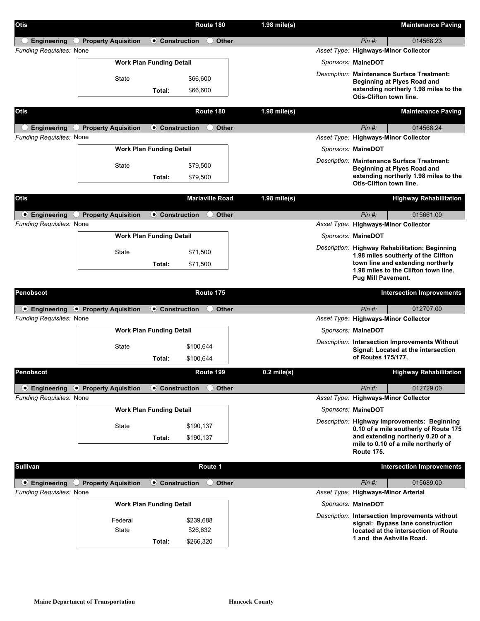| <b>Otis</b>                                              |                                |                                 | Route 180              | $1.98$ mile(s) |                           | <b>Maintenance Paving</b>                                                                                                                      |
|----------------------------------------------------------|--------------------------------|---------------------------------|------------------------|----------------|---------------------------|------------------------------------------------------------------------------------------------------------------------------------------------|
| <b>Engineering</b>                                       | $\bigcirc$ Property Aquisition | <b>● Construction</b>           | <b>Other</b><br>$\Box$ |                | $Pin$ #:                  | 014568.23                                                                                                                                      |
| <b>Funding Requisites: None</b>                          |                                |                                 |                        |                |                           | Asset Type: Highways-Minor Collector                                                                                                           |
|                                                          |                                | <b>Work Plan Funding Detail</b> |                        |                | Sponsors: MaineDOT        |                                                                                                                                                |
|                                                          | State                          | Total:                          | \$66,600<br>\$66,600   |                |                           | Description: Maintenance Surface Treatment:<br>Beginning at Plyes Road and<br>extending northerly 1.98 miles to the<br>Otis-Clifton town line. |
| <b>Otis</b>                                              |                                |                                 | Route 180              | $1.98$ mile(s) |                           | <b>Maintenance Paving</b>                                                                                                                      |
| <b>Engineering</b>                                       | <b>Property Aquisition</b>     | $\bullet$ Construction          | <b>Other</b>           |                | $Pin$ #:                  | 014568.24                                                                                                                                      |
| <b>Funding Requisites: None</b>                          |                                |                                 |                        |                |                           | Asset Type: Highways-Minor Collector                                                                                                           |
|                                                          |                                | <b>Work Plan Funding Detail</b> |                        |                | Sponsors: MaineDOT        |                                                                                                                                                |
|                                                          | State                          | Total:                          | \$79,500<br>\$79,500   |                |                           | Description: Maintenance Surface Treatment:<br>Beginning at Plyes Road and<br>extending northerly 1.98 miles to the<br>Otis-Clifton town line. |
| <b>Otis</b>                                              |                                |                                 | <b>Mariaville Road</b> | $1.98$ mile(s) |                           | <b>Highway Rehabilitation</b>                                                                                                                  |
| $\bullet$ Engineering                                    | O Property Aquisition          | ● Construction                  | Other                  |                | $Pin$ #:                  | 015661.00                                                                                                                                      |
| <b>Funding Requisites: None</b>                          |                                |                                 |                        |                |                           | Asset Type: Highways-Minor Collector                                                                                                           |
|                                                          |                                | <b>Work Plan Funding Detail</b> |                        |                | Sponsors: MaineDOT        |                                                                                                                                                |
|                                                          |                                |                                 |                        |                |                           | Description: Highway Rehabilitation: Beginning                                                                                                 |
|                                                          | State                          | Total:                          | \$71,500<br>\$71,500   |                |                           | 1.98 miles southerly of the Clifton<br>town line and extending northerly<br>1.98 miles to the Clifton town line.                               |
|                                                          |                                |                                 |                        |                | <b>Pug Mill Pavement.</b> |                                                                                                                                                |
| Penobscot                                                |                                |                                 | Route 175              |                |                           | <b>Intersection Improvements</b>                                                                                                               |
| $\bullet$ Engineering                                    | • Property Aquisition          | ● Construction                  | Other                  |                | $Pin$ #:                  | 012707.00                                                                                                                                      |
| <b>Funding Requisites: None</b>                          |                                |                                 |                        |                |                           | Asset Type: Highways-Minor Collector                                                                                                           |
|                                                          |                                | <b>Work Plan Funding Detail</b> |                        |                | Sponsors: MaineDOT        |                                                                                                                                                |
|                                                          | State                          |                                 | \$100,644              |                |                           | Description: Intersection Improvements Without                                                                                                 |
|                                                          |                                | Total:                          | \$100,644              |                | of Routes 175/177.        | Signal: Located at the intersection                                                                                                            |
| Penobscot                                                |                                |                                 | Route 199              |                |                           |                                                                                                                                                |
|                                                          |                                |                                 |                        | $0.2$ mile(s)  |                           | <b>Highway Rehabilitation</b>                                                                                                                  |
| $\odot$ Engineering                                      | • Property Aquisition          | <b>● Construction</b>           | $\bigcirc$ Other       |                | Pin #:                    | 012729.00                                                                                                                                      |
| <b>Funding Requisites: None</b>                          |                                |                                 |                        |                |                           | Asset Type: Highways-Minor Collector                                                                                                           |
|                                                          |                                | <b>Work Plan Funding Detail</b> |                        |                | Sponsors: MaineDOT        |                                                                                                                                                |
|                                                          | <b>State</b>                   |                                 | \$190,137              |                |                           | Description: Highway Improvements: Beginning<br>0.10 of a mile southerly of Route 175                                                          |
|                                                          |                                | Total:                          | \$190,137              |                | <b>Route 175.</b>         | and extending northerly 0.20 of a<br>mile to 0.10 of a mile northerly of                                                                       |
| <b>Sullivan</b>                                          |                                |                                 | Route 1                |                |                           | <b>Intersection Improvements</b>                                                                                                               |
|                                                          |                                | ● Construction                  | $\bigcirc$ Other       |                | Pin #:                    | 015689.00                                                                                                                                      |
| $\bullet$ Engineering<br><b>Funding Requisites: None</b> | $\bigcirc$ Property Aquisition |                                 |                        |                |                           | Asset Type: Highways-Minor Arterial                                                                                                            |
|                                                          |                                | <b>Work Plan Funding Detail</b> |                        |                | Sponsors: MaineDOT        |                                                                                                                                                |
|                                                          |                                |                                 |                        |                |                           | Description: Intersection Improvements without                                                                                                 |
|                                                          | Federal                        |                                 | \$239,688              |                |                           | signal: Bypass lane construction                                                                                                               |
|                                                          | State                          |                                 | \$26,632               |                |                           | located at the intersection of Route                                                                                                           |
|                                                          |                                | Total:                          | \$266,320              |                |                           | 1 and the Ashville Road.                                                                                                                       |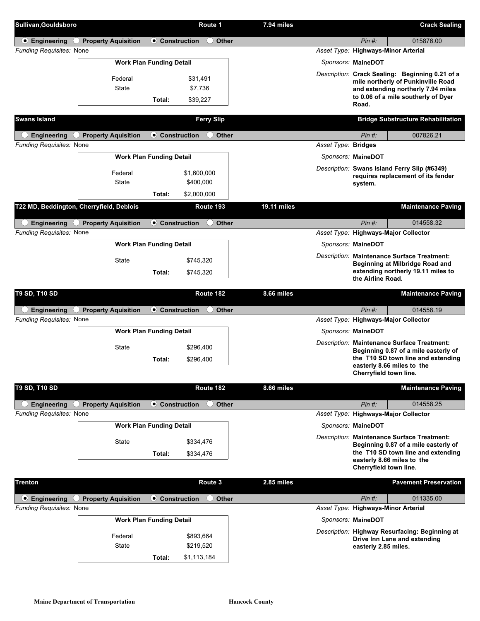| Sullivan, Gouldsboro                                  |                                          |                                 | Route 1                | 7.94 miles         |                     |                      | <b>Crack Sealing</b>                                                                |
|-------------------------------------------------------|------------------------------------------|---------------------------------|------------------------|--------------------|---------------------|----------------------|-------------------------------------------------------------------------------------|
| $\odot$ Engineering                                   | $\bigcirc$ Property Aquisition           | $\bullet$ Construction          | <b>Other</b>           |                    |                     | $Pin$ #:             | 015876.00                                                                           |
| <b>Funding Requisites: None</b>                       |                                          |                                 |                        |                    |                     |                      | Asset Type: Highways-Minor Arterial                                                 |
|                                                       | <b>Work Plan Funding Detail</b>          |                                 |                        |                    |                     | Sponsors: MaineDOT   |                                                                                     |
|                                                       | Federal                                  |                                 | \$31,491               |                    |                     |                      | Description: Crack Sealing: Beginning 0.21 of a                                     |
|                                                       | State                                    |                                 | \$7,736                |                    |                     |                      | mile northerly of Punkinville Road<br>and extending northerly 7.94 miles            |
|                                                       |                                          | Total:                          | \$39,227               |                    |                     | Road.                | to 0.06 of a mile southerly of Dyer                                                 |
| <b>Swans Island</b>                                   |                                          |                                 | <b>Ferry Slip</b>      |                    |                     |                      | <b>Bridge Substructure Rehabilitation</b>                                           |
|                                                       |                                          |                                 |                        |                    |                     |                      |                                                                                     |
| <b>Engineering</b><br><b>Funding Requisites: None</b> | O Property Aquisition                    | <b>● Construction</b>           | <b>Other</b>           |                    | Asset Type: Bridges | $Pin$ #:             | 007826.21                                                                           |
|                                                       | <b>Work Plan Funding Detail</b>          |                                 |                        |                    |                     | Sponsors: MaineDOT   |                                                                                     |
|                                                       |                                          |                                 |                        |                    |                     |                      | Description: Swans Island Ferry Slip (#6349)                                        |
|                                                       | Federal                                  |                                 | \$1,600,000            |                    |                     |                      | requires replacement of its fender                                                  |
|                                                       | State                                    |                                 | \$400,000              |                    |                     | system.              |                                                                                     |
|                                                       |                                          | Total:                          | \$2,000,000            |                    |                     |                      |                                                                                     |
|                                                       | T22 MD, Beddington, Cherryfield, Deblois |                                 | Route 193              | <b>19.11 miles</b> |                     |                      | <b>Maintenance Paving</b>                                                           |
| <b>Engineering</b>                                    | <b>Property Aquisition</b>               | <b>● Construction</b>           | <b>Other</b>           |                    |                     | $Pin$ #:             | 014558.32                                                                           |
| Funding Requisites: None                              |                                          |                                 |                        |                    |                     |                      | Asset Type: Highways-Major Collector                                                |
|                                                       |                                          | <b>Work Plan Funding Detail</b> |                        |                    |                     | Sponsors: MaineDOT   |                                                                                     |
|                                                       | State                                    |                                 | \$745,320              |                    |                     |                      | Description: Maintenance Surface Treatment:<br>Beginning at Milbridge Road and      |
|                                                       |                                          | Total:                          | \$745,320              |                    |                     |                      | extending northerly 19.11 miles to                                                  |
|                                                       |                                          |                                 |                        |                    |                     | the Airline Road.    |                                                                                     |
| <b>T9 SD, T10 SD</b>                                  |                                          |                                 | Route 182              | 8.66 miles         |                     |                      | <b>Maintenance Paving</b>                                                           |
| <b>Engineering</b>                                    | ◯ Property Aquisition                    | <b>● Construction</b>           | Other                  |                    |                     | $Pin$ #:             | 014558.19                                                                           |
| Funding Requisites: None                              |                                          |                                 |                        |                    |                     |                      | Asset Type: Highways-Major Collector                                                |
|                                                       | <b>Work Plan Funding Detail</b>          |                                 |                        |                    |                     | Sponsors: MaineDOT   |                                                                                     |
|                                                       | State                                    |                                 | \$296,400              |                    |                     |                      | Description: Maintenance Surface Treatment:<br>Beginning 0.87 of a mile easterly of |
|                                                       |                                          | Total:                          | \$296,400              |                    |                     |                      | the T10 SD town line and extending                                                  |
|                                                       |                                          |                                 |                        |                    |                     |                      | easterly 8.66 miles to the<br>Cherryfield town line.                                |
| T9 SD, T10 SD                                         |                                          |                                 | Route 182              | 8.66 miles         |                     |                      | <b>Maintenance Paving</b>                                                           |
|                                                       |                                          |                                 |                        |                    |                     |                      |                                                                                     |
| <b>Engineering</b><br><b>Funding Requisites: None</b> | <b>Property Aquisition</b><br>( )        | $\odot$ Construction            | Other                  |                    |                     | $Pin$ #:             | 014558.25                                                                           |
|                                                       |                                          | <b>Work Plan Funding Detail</b> |                        |                    |                     |                      | Asset Type: Highways-Major Collector                                                |
|                                                       |                                          |                                 |                        |                    |                     | Sponsors: MaineDOT   | Description: Maintenance Surface Treatment:                                         |
|                                                       | State                                    |                                 | \$334,476              |                    |                     |                      | Beginning 0.87 of a mile easterly of                                                |
|                                                       |                                          | Total:                          | \$334,476              |                    |                     |                      | the T10 SD town line and extending<br>easterly 8.66 miles to the                    |
|                                                       |                                          |                                 |                        |                    |                     |                      | Cherryfield town line.                                                              |
| <b>Trenton</b>                                        |                                          |                                 | Route 3                | 2.85 miles         |                     |                      | <b>Pavement Preservation</b>                                                        |
| $\odot$ Engineering                                   | <b>Property Aquisition</b>               | <b>● Construction</b>           | Other                  |                    |                     | $Pin$ #:             | 011335.00                                                                           |
| <b>Funding Requisites: None</b>                       |                                          |                                 |                        |                    |                     |                      | Asset Type: Highways-Minor Arterial                                                 |
|                                                       | <b>Work Plan Funding Detail</b>          |                                 |                        |                    |                     | Sponsors: MaineDOT   |                                                                                     |
|                                                       |                                          |                                 |                        |                    |                     |                      | Description: Highway Resurfacing: Beginning at                                      |
|                                                       | Federal<br>State                         |                                 | \$893,664<br>\$219,520 |                    |                     | easterly 2.85 miles. | Drive Inn Lane and extending                                                        |
|                                                       |                                          | Total:                          | \$1,113,184            |                    |                     |                      |                                                                                     |
|                                                       |                                          |                                 |                        |                    |                     |                      |                                                                                     |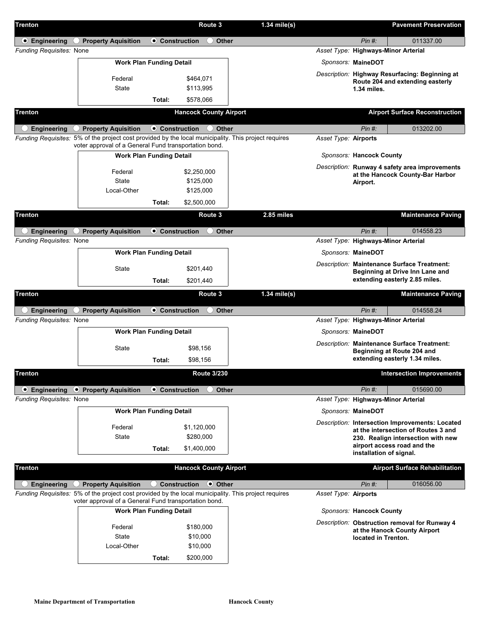| <b>Trenton</b>                                  |                                                                                                                                                               |                                 | Route 3                       | $1.34$ mile(s) |                      |                          | <b>Pavement Preservation</b>                                                       |
|-------------------------------------------------|---------------------------------------------------------------------------------------------------------------------------------------------------------------|---------------------------------|-------------------------------|----------------|----------------------|--------------------------|------------------------------------------------------------------------------------|
| $\odot$ Engineering                             | ◯ Property Aquisition                                                                                                                                         | <b>⊙</b> Construction           | ◯ Other                       |                |                      | $Pin$ #:                 | 011337.00                                                                          |
| Funding Requisites: None                        |                                                                                                                                                               |                                 |                               |                |                      |                          | Asset Type: Highways-Minor Arterial                                                |
|                                                 |                                                                                                                                                               | <b>Work Plan Funding Detail</b> |                               |                |                      | Sponsors: MaineDOT       |                                                                                    |
|                                                 | Federal                                                                                                                                                       |                                 | \$464,071                     |                |                      |                          | Description: Highway Resurfacing: Beginning at<br>Route 204 and extending easterly |
|                                                 | <b>State</b>                                                                                                                                                  |                                 | \$113,995                     |                |                      | 1.34 miles.              |                                                                                    |
|                                                 |                                                                                                                                                               | Total:                          | \$578,066                     |                |                      |                          |                                                                                    |
| <b>Trenton</b>                                  |                                                                                                                                                               |                                 | <b>Hancock County Airport</b> |                |                      |                          | <b>Airport Surface Reconstruction</b>                                              |
| $\cup$ Engineering                              | $\bigcirc$ Property Aquisition                                                                                                                                | $\odot$ Construction            | ◯ Other                       |                |                      | Pin #:                   | 013202.00                                                                          |
|                                                 | Funding Requisites: 5% of the project cost provided by the local municipality. This project requires<br>voter approval of a General Fund transportation bond. |                                 |                               |                | Asset Type: Airports |                          |                                                                                    |
|                                                 |                                                                                                                                                               | <b>Work Plan Funding Detail</b> |                               |                |                      | Sponsors: Hancock County |                                                                                    |
|                                                 |                                                                                                                                                               |                                 |                               |                |                      |                          | Description: Runway 4 safety area improvements                                     |
|                                                 | Federal<br><b>State</b>                                                                                                                                       |                                 | \$2,250,000<br>\$125,000      |                |                      |                          | at the Hancock County-Bar Harbor                                                   |
|                                                 | Local-Other                                                                                                                                                   |                                 | \$125,000                     |                |                      | Airport.                 |                                                                                    |
|                                                 |                                                                                                                                                               | Total:                          | \$2,500,000                   |                |                      |                          |                                                                                    |
| Trenton                                         |                                                                                                                                                               |                                 | Route 3                       | 2.85 miles     |                      |                          | <b>Maintenance Paving</b>                                                          |
| <b>Engineering</b>                              | <b>Property Aquisition</b><br>$\left( \ \right)$                                                                                                              | <b>⊙</b> Construction           | <b>Other</b>                  |                |                      | $Pin$ #:                 | 014558.23                                                                          |
| Funding Requisites: None                        |                                                                                                                                                               |                                 |                               |                |                      |                          | Asset Type: Highways-Minor Arterial                                                |
|                                                 |                                                                                                                                                               | <b>Work Plan Funding Detail</b> |                               |                |                      | Sponsors: MaineDOT       |                                                                                    |
|                                                 |                                                                                                                                                               |                                 |                               |                |                      |                          | <b>Description: Maintenance Surface Treatment:</b>                                 |
|                                                 | <b>State</b>                                                                                                                                                  |                                 | \$201,440                     |                |                      |                          | Beginning at Drive Inn Lane and                                                    |
|                                                 |                                                                                                                                                               | Total:                          | \$201,440                     |                |                      |                          | extending easterly 2.85 miles.                                                     |
| Trenton                                         |                                                                                                                                                               |                                 | Route 3                       | $1.34$ mile(s) |                      |                          | <b>Maintenance Paving</b>                                                          |
| <b>Engineering</b>                              | $\bigcirc$ Property Aquisition                                                                                                                                | <b>● Construction</b>           | Other                         |                |                      | $Pin$ #:                 | 014558.24                                                                          |
| <b>Funding Requisites: None</b>                 |                                                                                                                                                               |                                 |                               |                |                      |                          | Asset Type: Highways-Minor Arterial                                                |
|                                                 |                                                                                                                                                               | <b>Work Plan Funding Detail</b> |                               |                |                      | Sponsors: MaineDOT       |                                                                                    |
|                                                 | <b>State</b>                                                                                                                                                  |                                 | \$98,156                      |                |                      |                          | <b>Description: Maintenance Surface Treatment:</b>                                 |
|                                                 |                                                                                                                                                               | Total:                          | \$98,156                      |                |                      |                          | Beginning at Route 204 and<br>extending easterly 1.34 miles.                       |
| Trenton                                         |                                                                                                                                                               |                                 | <b>Route 3/230</b>            |                |                      |                          | Intersection Improvements                                                          |
|                                                 |                                                                                                                                                               |                                 |                               |                |                      |                          |                                                                                    |
| $\odot$ Engineering<br>Funding Requisites: None | • Property Aquisition                                                                                                                                         | <b>⊙</b> Construction           | $\bigcirc$ Other              |                |                      | $Pin$ #:                 | 015690.00<br>Asset Type: Highways-Minor Arterial                                   |
|                                                 |                                                                                                                                                               | <b>Work Plan Funding Detail</b> |                               |                |                      | Sponsors: MaineDOT       |                                                                                    |
|                                                 |                                                                                                                                                               |                                 |                               |                |                      |                          | Description: Intersection Improvements: Located                                    |
|                                                 | Federal                                                                                                                                                       |                                 | \$1,120,000                   |                |                      |                          | at the intersection of Routes 3 and                                                |
|                                                 | <b>State</b>                                                                                                                                                  |                                 | \$280,000                     |                |                      |                          | 230. Realign intersection with new<br>airport access road and the                  |
|                                                 |                                                                                                                                                               | Total:                          | \$1,400,000                   |                |                      | installation of signal.  |                                                                                    |
| <b>Trenton</b>                                  |                                                                                                                                                               |                                 | <b>Hancock County Airport</b> |                |                      |                          | <b>Airport Surface Rehabilitation</b>                                              |
| <b>Engineering</b>                              | $\bigcirc$ Property Aquisition                                                                                                                                | $\bigcirc$ Construction         | $\odot$ Other                 |                |                      | $Pin$ #:                 | 016056.00                                                                          |
|                                                 | Funding Requisites: 5% of the project cost provided by the local municipality. This project requires                                                          |                                 |                               |                | Asset Type: Airports |                          |                                                                                    |
|                                                 | voter approval of a General Fund transportation bond.                                                                                                         | <b>Work Plan Funding Detail</b> |                               |                |                      | Sponsors: Hancock County |                                                                                    |
|                                                 |                                                                                                                                                               |                                 |                               |                |                      |                          |                                                                                    |
|                                                 | Federal                                                                                                                                                       |                                 | \$180,000                     |                |                      |                          | Description: Obstruction removal for Runway 4<br>at the Hanock County Airport      |
|                                                 | <b>State</b>                                                                                                                                                  |                                 | \$10,000                      |                |                      | located in Trenton.      |                                                                                    |
|                                                 | Local-Other                                                                                                                                                   |                                 | \$10,000                      |                |                      |                          |                                                                                    |
|                                                 |                                                                                                                                                               | Total:                          | \$200,000                     |                |                      |                          |                                                                                    |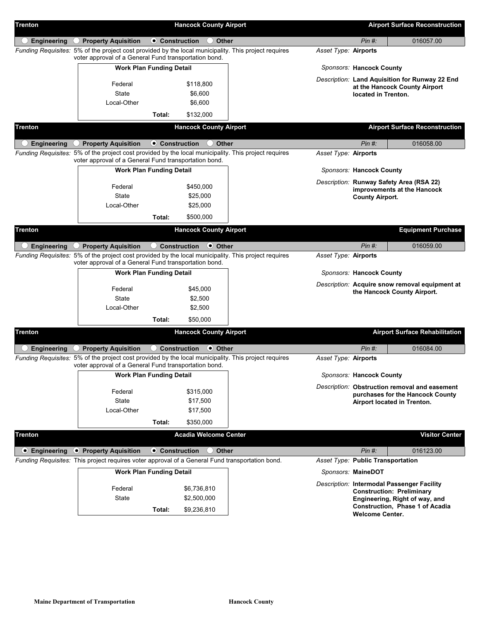| Trenton             |                                                                                                                                                               |                         | <b>Hancock County Airport</b>        | <b>Airport Surface Reconstruction</b> |                                   |                                                                    |  |
|---------------------|---------------------------------------------------------------------------------------------------------------------------------------------------------------|-------------------------|--------------------------------------|---------------------------------------|-----------------------------------|--------------------------------------------------------------------|--|
| <b>Engineering</b>  | $\bigcirc$ Property Aquisition                                                                                                                                | <b>⊙</b> Construction   | ( ) Other                            |                                       | $Pin$ #:                          | 016057.00                                                          |  |
|                     | Funding Requisites: 5% of the project cost provided by the local municipality. This project requires<br>voter approval of a General Fund transportation bond. |                         |                                      | Asset Type: Airports                  |                                   |                                                                    |  |
|                     | <b>Work Plan Funding Detail</b>                                                                                                                               |                         |                                      |                                       | Sponsors: Hancock County          |                                                                    |  |
|                     | Federal                                                                                                                                                       |                         | \$118,800                            |                                       |                                   | Description: Land Aquisition for Runway 22 End                     |  |
|                     | <b>State</b>                                                                                                                                                  |                         | \$6,600                              |                                       | located in Trenton.               | at the Hancock County Airport                                      |  |
|                     | Local-Other                                                                                                                                                   |                         | \$6,600                              |                                       |                                   |                                                                    |  |
|                     |                                                                                                                                                               | Total:                  | \$132,000                            |                                       |                                   |                                                                    |  |
| <b>Trenton</b>      |                                                                                                                                                               |                         | <b>Hancock County Airport</b>        |                                       |                                   | <b>Airport Surface Reconstruction</b>                              |  |
| <b>Engineering</b>  | $\bigcirc$ Property Aquisition                                                                                                                                | $\bullet$ Construction  | ◯ Other                              |                                       | $Pin$ #:                          | 016058.00                                                          |  |
|                     | Funding Requisites: 5% of the project cost provided by the local municipality. This project requires<br>voter approval of a General Fund transportation bond. |                         |                                      | Asset Type: Airports                  |                                   |                                                                    |  |
|                     | <b>Work Plan Funding Detail</b>                                                                                                                               |                         |                                      |                                       | Sponsors: Hancock County          |                                                                    |  |
|                     |                                                                                                                                                               |                         | \$450,000                            |                                       |                                   | Description: Runway Safety Area (RSA 22)                           |  |
|                     | Federal<br>State                                                                                                                                              |                         | \$25,000                             |                                       | <b>County Airport.</b>            | improvements at the Hancock                                        |  |
|                     | Local-Other                                                                                                                                                   |                         | \$25,000                             |                                       |                                   |                                                                    |  |
|                     |                                                                                                                                                               | Total:                  | \$500,000                            |                                       |                                   |                                                                    |  |
| <b>Trenton</b>      |                                                                                                                                                               |                         | <b>Hancock County Airport</b>        |                                       |                                   | <b>Equipment Purchase</b>                                          |  |
| <b>Engineering</b>  | $\bigcirc$ Property Aquisition                                                                                                                                | $\bigcirc$ Construction | $\Theta$ Other                       |                                       | $Pin$ #:                          | 016059.00                                                          |  |
|                     | Funding Requisites: 5% of the project cost provided by the local municipality. This project requires<br>voter approval of a General Fund transportation bond. |                         |                                      | Asset Type: Airports                  |                                   |                                                                    |  |
|                     | <b>Work Plan Funding Detail</b>                                                                                                                               |                         |                                      |                                       | Sponsors: Hancock County          |                                                                    |  |
|                     | Federal                                                                                                                                                       |                         | \$45,000                             |                                       |                                   | Description: Acquire snow removal equipment at                     |  |
|                     | <b>State</b>                                                                                                                                                  |                         | \$2,500                              |                                       |                                   | the Hancock County Airport.                                        |  |
|                     | Local-Other                                                                                                                                                   |                         | \$2,500                              |                                       |                                   |                                                                    |  |
|                     |                                                                                                                                                               | Total:                  | \$50,000                             |                                       |                                   |                                                                    |  |
| Trenton             |                                                                                                                                                               |                         | <b>Hancock County Airport</b>        |                                       |                                   | <b>Airport Surface Rehabilitation</b>                              |  |
| <b>Engineering</b>  | <b>Property Aquisition</b><br>$\left(\right)$                                                                                                                 | ()                      | $\odot$ Other<br><b>Construction</b> |                                       | $Pin$ #:                          | 016084.00                                                          |  |
|                     | Funding Requisites: 5% of the project cost provided by the local municipality. This project requires<br>voter approval of a General Fund transportation bond. |                         |                                      | Asset Type: Airports                  |                                   |                                                                    |  |
|                     | <b>Work Plan Funding Detail</b>                                                                                                                               |                         |                                      |                                       | Sponsors: Hancock County          |                                                                    |  |
|                     | Federal                                                                                                                                                       |                         | \$315,000                            |                                       |                                   | Description: Obstruction removal and easement                      |  |
|                     | <b>State</b>                                                                                                                                                  |                         | \$17,500                             |                                       |                                   | purchases for the Hancock County<br>Airport located in Trenton.    |  |
|                     | Local-Other                                                                                                                                                   |                         | \$17,500                             |                                       |                                   |                                                                    |  |
|                     |                                                                                                                                                               | Total:                  | \$350,000                            |                                       |                                   |                                                                    |  |
| <b>Trenton</b>      |                                                                                                                                                               |                         | <b>Acadia Welcome Center</b>         |                                       |                                   | <b>Visitor Center</b>                                              |  |
| $\odot$ Engineering | ● Property Aquisition                                                                                                                                         | <b>⊙</b> Construction   | O Other                              |                                       | $Pin$ #:                          | 016123.00                                                          |  |
|                     | Funding Requisites: This project requires voter approval of a General Fund transportation bond.                                                               |                         |                                      |                                       | Asset Type: Public Transportation |                                                                    |  |
|                     | <b>Work Plan Funding Detail</b>                                                                                                                               |                         |                                      |                                       | Sponsors: MaineDOT                |                                                                    |  |
|                     | Federal                                                                                                                                                       |                         | \$6,736,810                          |                                       |                                   | Description: Intermodal Passenger Facility                         |  |
|                     | <b>State</b>                                                                                                                                                  |                         | \$2,500,000                          |                                       |                                   | <b>Construction: Preliminary</b><br>Engineering, Right of way, and |  |
|                     |                                                                                                                                                               | Total:                  | \$9,236,810                          |                                       | <b>Welcome Center.</b>            | Construction, Phase 1 of Acadia                                    |  |
|                     |                                                                                                                                                               |                         |                                      |                                       |                                   |                                                                    |  |